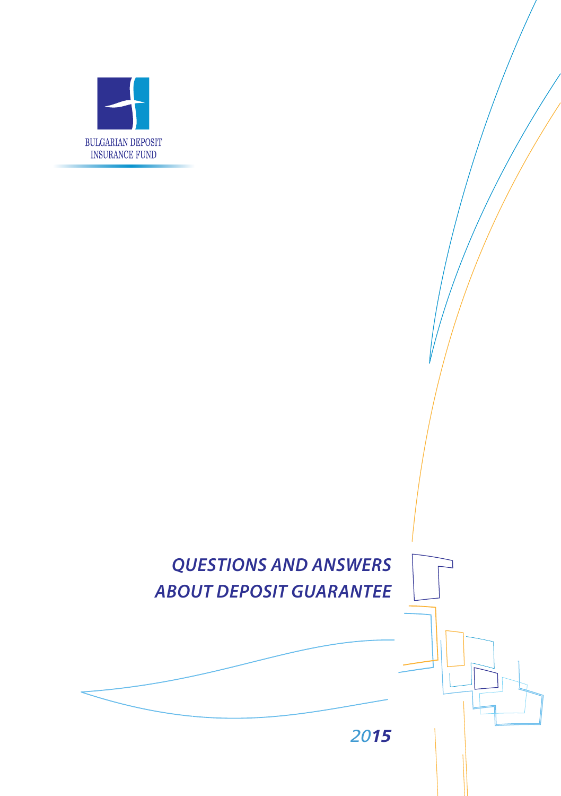

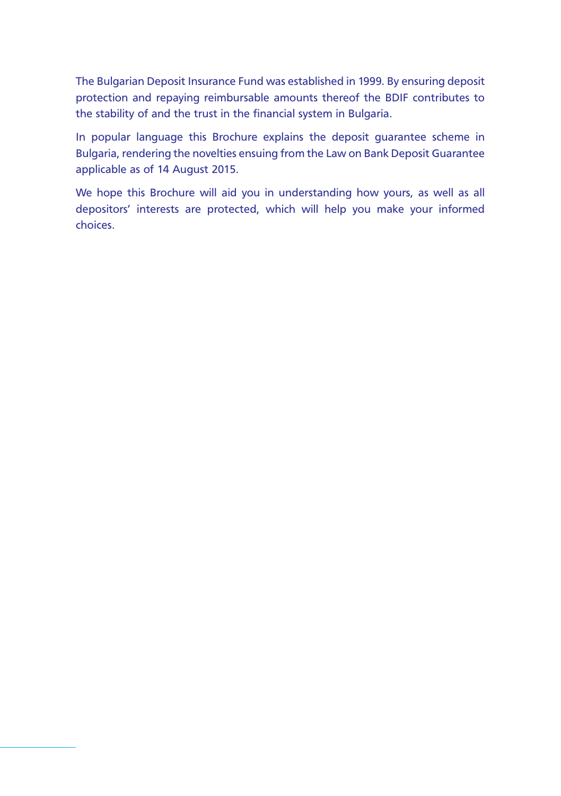The Bulgarian Deposit Insurance Fund was established in 1999. By ensuring deposit protection and repaying reimbursable amounts thereof the BDIF contributes to the stability of and the trust in the financial system in Bulgaria.

In popular language this Brochure explains the deposit guarantee scheme in Bulgaria, rendering the novelties ensuing from the Law on Bank Deposit Guarantee applicable as of 14 August 2015.

We hope this Brochure will aid you in understanding how yours, as well as all depositors' interests are protected, which will help you make your informed choices.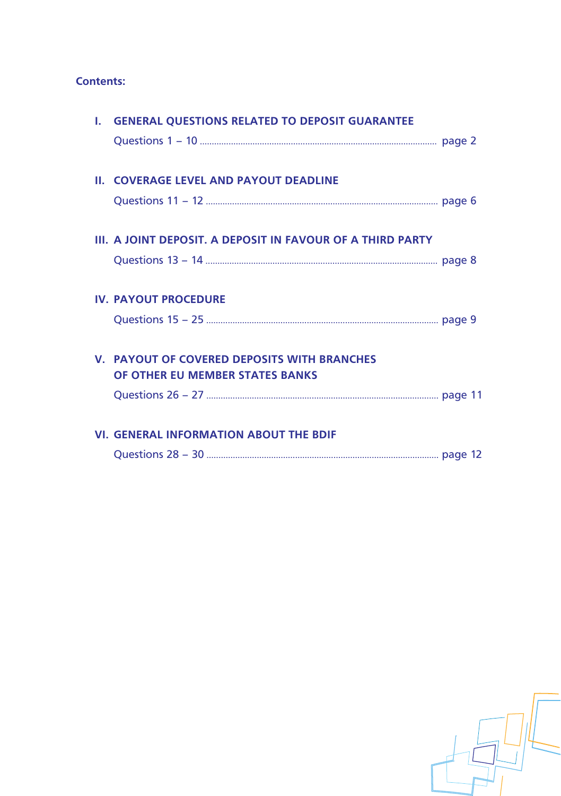# **Contents:**

| <b>II. COVERAGE LEVEL AND PAYOUT DEADLINE</b>                                  |                                                   |
|--------------------------------------------------------------------------------|---------------------------------------------------|
|                                                                                |                                                   |
| III. A JOINT DEPOSIT. A DEPOSIT IN FAVOUR OF A THIRD PARTY                     |                                                   |
|                                                                                |                                                   |
| <b>IV. PAYOUT PROCEDURE</b>                                                    |                                                   |
|                                                                                |                                                   |
| V. PAYOUT OF COVERED DEPOSITS WITH BRANCHES<br>OF OTHER EU MEMBER STATES BANKS |                                                   |
|                                                                                |                                                   |
| <b>VI. GENERAL INFORMATION ABOUT THE BDIF</b>                                  |                                                   |
|                                                                                |                                                   |
|                                                                                | I. GENERAL QUESTIONS RELATED TO DEPOSIT GUARANTEE |

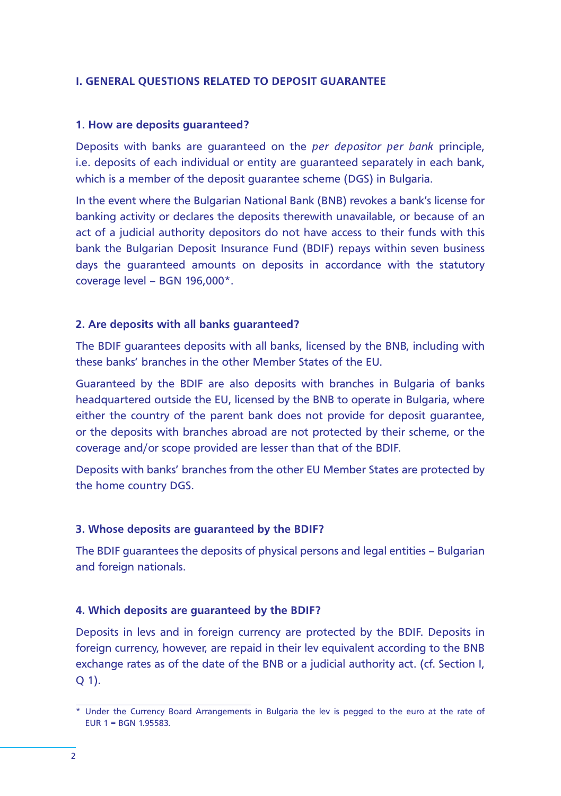### **I. GENERAL QUESTIONS RELATED TO DEPOSIT GUARANTEE**

#### **1. How are deposits guaranteed?**

Deposits with banks are guaranteed on the *per depositor per bank* principle, i.e. deposits of each individual or entity are guaranteed separately in each bank, which is a member of the deposit guarantee scheme (DGS) in Bulgaria.

In the event where the Bulgarian National Bank (BNB) revokes a bank's license for banking activity or declares the deposits therewith unavailable, or because of an act of a judicial authority depositors do not have access to their funds with this bank the Bulgarian Deposit Insurance Fund (BDIF) repays within seven business days the guaranteed amounts on deposits in accordance with the statutory coverage level – BGN 196,000\*.

## **2. Are deposits with all banks guaranteed?**

The BDIF guarantees deposits with all banks, licensed by the BNB, including with these banks' branches in the other Member States of the EU.

Guaranteed by the BDIF are also deposits with branches in Bulgaria of banks headquartered outside the EU, licensed by the BNB to operate in Bulgaria, where either the country of the parent bank does not provide for deposit guarantee, or the deposits with branches abroad are not protected by their scheme, or the coverage and/or scope provided are lesser than that of the BDIF.

Deposits with banks' branches from the other EU Member States are protected by the home country DGS.

## **3. Whose deposits are guaranteed by the BDIF?**

The BDIF guarantees the deposits of physical persons and legal entities – Bulgarian and foreign nationals.

## **4. Which deposits are guaranteed by the BDIF?**

Deposits in levs and in foreign currency are protected by the BDIF. Deposits in foreign currency, however, are repaid in their lev equivalent according to the BNB exchange rates as of the date of the BNB or a judicial authority act. (cf. Section I,  $O(1)$ .

<sup>\*</sup> Under the Currency Board Arrangements in Bulgaria the lev is pegged to the euro at the rate of EUR 1 = BGN 1.95583.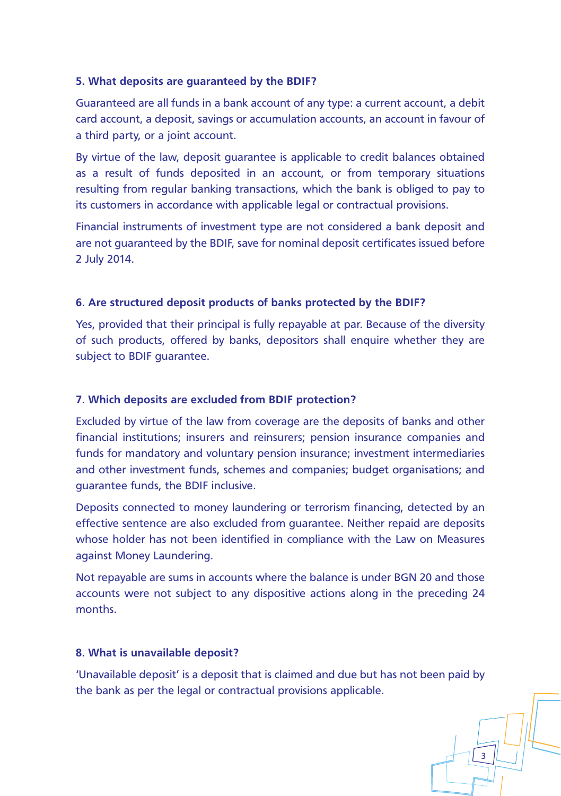## **5. What deposits are guaranteed by the BDIF?**

Guaranteed are all funds in a bank account of any type: a current account, a debit card account, a deposit, savings or accumulation accounts, an account in favour of a third party, or a joint account.

By virtue of the law, deposit guarantee is applicable to credit balances obtained as a result of funds deposited in an account, or from temporary situations resulting from regular banking transactions, which the bank is obliged to pay to its customers in accordance with applicable legal or contractual provisions.

Financial instruments of investment type are not considered a bank deposit and are not guaranteed by the BDIF, save for nominal deposit certificates issued before 2 July 2014.

# **6. Are structured deposit products of banks protected by the BDIF?**

Yes, provided that their principal is fully repayable at par. Because of the diversity of such products, offered by banks, depositors shall enquire whether they are subject to BDIF guarantee.

## **7. Which deposits are excluded from BDIF protection?**

Excluded by virtue of the law from coverage are the deposits of banks and other financial institutions; insurers and reinsurers; pension insurance companies and funds for mandatory and voluntary pension insurance; investment intermediaries and other investment funds, schemes and companies; budget organisations; and guarantee funds, the BDIF inclusive.

Deposits connected to money laundering or terrorism financing, detected by an effective sentence are also excluded from guarantee. Neither repaid are deposits whose holder has not been identified in compliance with the Law on Measures against Money Laundering.

Not repayable are sums in accounts where the balance is under BGN 20 and those accounts were not subject to any dispositive actions along in the preceding 24 months.

## **8. What is unavailable deposit?**

'Unavailable deposit' is a deposit that is claimed and due but has not been paid by the bank as per the legal or contractual provisions applicable.

3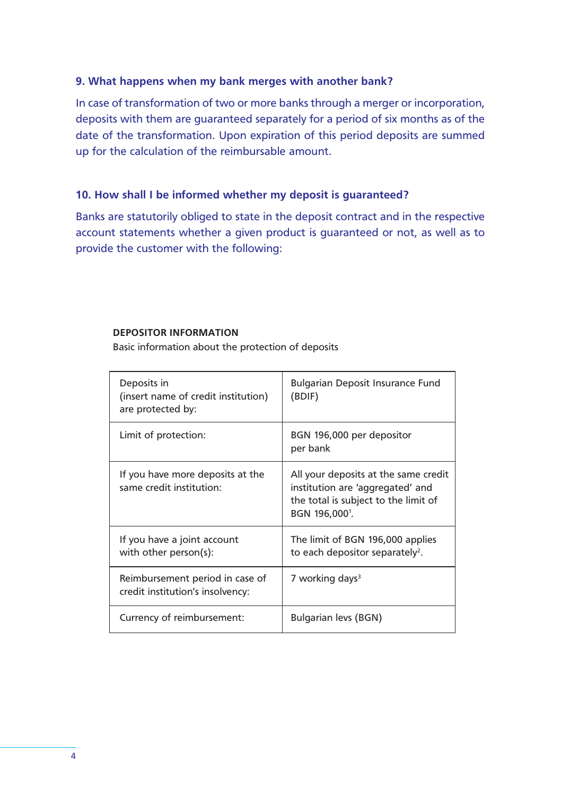### **9. What happens when my bank merges with another bank?**

In case of transformation of two or more banks through a merger or incorporation, deposits with them are guaranteed separately for a period of six months as of the date of the transformation. Upon expiration of this period deposits are summed up for the calculation of the reimbursable amount.

# **10. How shall I be informed whether my deposit is guaranteed?**

Banks are statutorily obliged to state in the deposit contract and in the respective account statements whether a given product is guaranteed or not, as well as to provide the customer with the following:

#### **DEPOSITOR INFORMATION**

Basic information about the protection of deposits

| Deposits in<br>(insert name of credit institution)<br>are protected by: | Bulgarian Deposit Insurance Fund<br>(BDIF)                                                                                                     |
|-------------------------------------------------------------------------|------------------------------------------------------------------------------------------------------------------------------------------------|
| Limit of protection:                                                    | BGN 196,000 per depositor<br>per bank                                                                                                          |
| If you have more deposits at the<br>same credit institution:            | All your deposits at the same credit<br>institution are 'aggregated' and<br>the total is subject to the limit of<br>BGN 196,000 <sup>1</sup> . |
| If you have a joint account<br>with other person(s):                    | The limit of BGN 196,000 applies<br>to each depositor separately <sup>2</sup> .                                                                |
| Reimbursement period in case of<br>credit institution's insolvency:     | 7 working days <sup>3</sup>                                                                                                                    |
| Currency of reimbursement:                                              | Bulgarian levs (BGN)                                                                                                                           |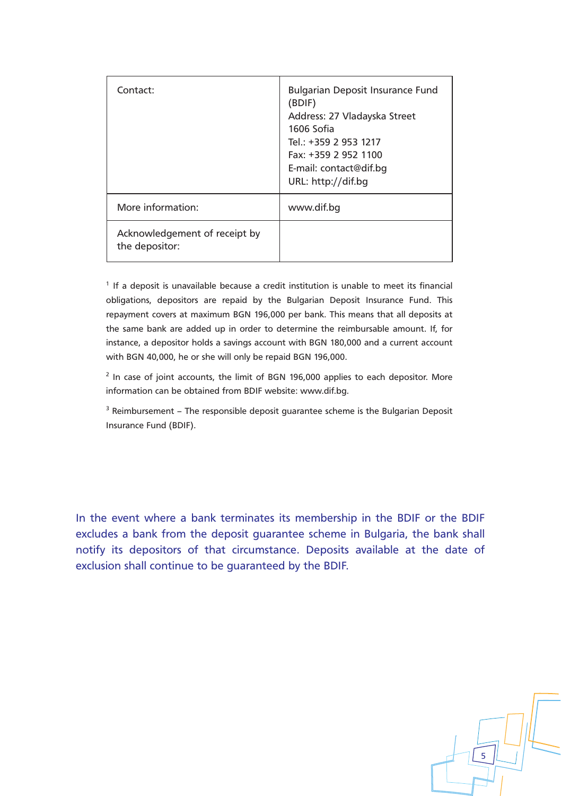| Contact:                                        | <b>Bulgarian Deposit Insurance Fund</b><br>(BDIF)<br>Address: 27 Vladayska Street<br>1606 Sofia<br>Tel.: +359 2 953 1217<br>Fax: +359 2 952 1100<br>E-mail: contact@dif.bg<br>URL: http://dif.bq |
|-------------------------------------------------|--------------------------------------------------------------------------------------------------------------------------------------------------------------------------------------------------|
| More information:                               | www.dif.bg                                                                                                                                                                                       |
| Acknowledgement of receipt by<br>the depositor: |                                                                                                                                                                                                  |

<sup>1</sup> If a deposit is unavailable because a credit institution is unable to meet its financial obligations, depositors are repaid by the Bulgarian Deposit Insurance Fund. This repayment covers at maximum BGN 196,000 per bank. This means that all deposits at the same bank are added up in order to determine the reimbursable amount. If, for instance, a depositor holds a savings account with BGN 180,000 and a current account with BGN 40,000, he or she will only be repaid BGN 196,000.

<sup>2</sup> In case of joint accounts, the limit of BGN 196,000 applies to each depositor. More information can be obtained from BDIF website: www.dif.bg.

<sup>3</sup> Reimbursement – The responsible deposit guarantee scheme is the Bulgarian Deposit Insurance Fund (BDIF).

In the event where a bank terminates its membership in the BDIF or the BDIF excludes a bank from the deposit guarantee scheme in Bulgaria, the bank shall notify its depositors of that circumstance. Deposits available at the date of exclusion shall continue to be guaranteed by the BDIF.

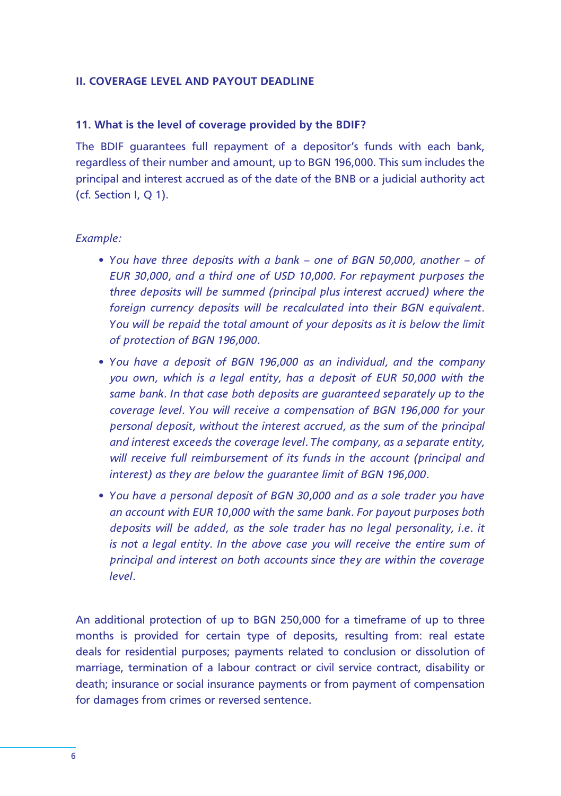### **II. COVERAGE LEVEL AND PAYOUT DEADLINE**

## **11. What is the level of coverage provided by the BDIF?**

The BDIF guarantees full repayment of a depositor's funds with each bank, regardless of their number and amount, up to BGN 196,000. This sum includes the principal and interest accrued as of the date of the BNB or a judicial authority act (cf. Section I, Q 1).

## *Example:*

- • *You have three deposits with a bank one of BGN 50,000, another of EUR 30,000, and a third one of USD 10,000. For repayment purposes the three deposits will be summed (principal plus interest accrued) where the foreign currency deposits will be recalculated into their BGN equivalent. You will be repaid the total amount of your deposits as it is below the limit of protection of BGN 196,000.*
- • *You have a deposit of BGN 196,000 as an individual, and the company you own, which is a legal entity, has a deposit of EUR 50,000 with the same bank. In that case both deposits are guaranteed separately up to the coverage level. You will receive a compensation of BGN 196,000 for your personal deposit, without the interest accrued, as the sum of the principal and interest exceeds the coverage level. The company, as a separate entity, will receive full reimbursement of its funds in the account (principal and interest) as they are below the guarantee limit of BGN 196,000.*
- • *You have a personal deposit of BGN 30,000 and as a sole trader you have an account with EUR 10,000 with the same bank. For payout purposes both deposits will be added, as the sole trader has no legal personality, i.e. it is not a legal entity. In the above case you will receive the entire sum of principal and interest on both accounts since they are within the coverage level.*

An additional protection of up to BGN 250,000 for a timeframe of up to three months is provided for certain type of deposits, resulting from: real estate deals for residential purposes; payments related to conclusion or dissolution of marriage, termination of a labour contract or civil service contract, disability or death; insurance or social insurance payments or from payment of compensation for damages from crimes or reversed sentence.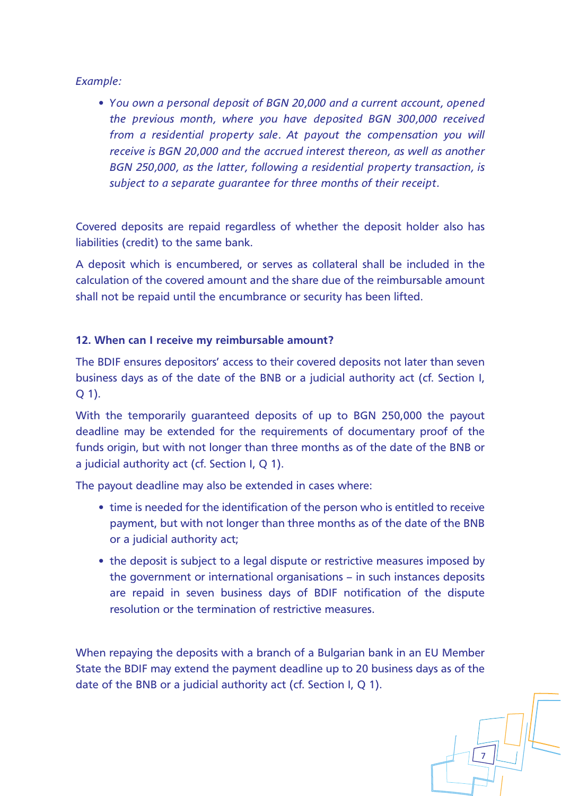*Example:*

• *You own a personal deposit of BGN 20,000 and a current account, opened the previous month, where you have deposited BGN 300,000 received from a residential property sale. At payout the compensation you will receive is BGN 20,000 and the accrued interest thereon, as well as another BGN 250,000, as the latter, following a residential property transaction, is subject to a separate guarantee for three months of their receipt.*

Covered deposits are repaid regardless of whether the deposit holder also has liabilities (credit) to the same bank.

A deposit which is encumbered, or serves as collateral shall be included in the calculation of the covered amount and the share due of the reimbursable amount shall not be repaid until the encumbrance or security has been lifted.

## **12. When can I receive my reimbursable amount?**

The BDIF ensures depositors' access to their covered deposits not later than seven business days as of the date of the BNB or a judicial authority act (cf. Section I, Q 1).

With the temporarily guaranteed deposits of up to BGN 250,000 the payout deadline may be extended for the requirements of documentary proof of the funds origin, but with not longer than three months as of the date of the BNB or a judicial authority act (cf. Section I, O 1).

The payout deadline may also be extended in cases where:

- time is needed for the identification of the person who is entitled to receive payment, but with not longer than three months as of the date of the BNB or a judicial authority act;
- the deposit is subject to a legal dispute or restrictive measures imposed by the government or international organisations – in such instances deposits are repaid in seven business days of BDIF notification of the dispute resolution or the termination of restrictive measures.

When repaying the deposits with a branch of a Bulgarian bank in an EU Member State the BDIF may extend the payment deadline up to 20 business days as of the date of the BNB or a judicial authority act (cf. Section I, Q 1).

7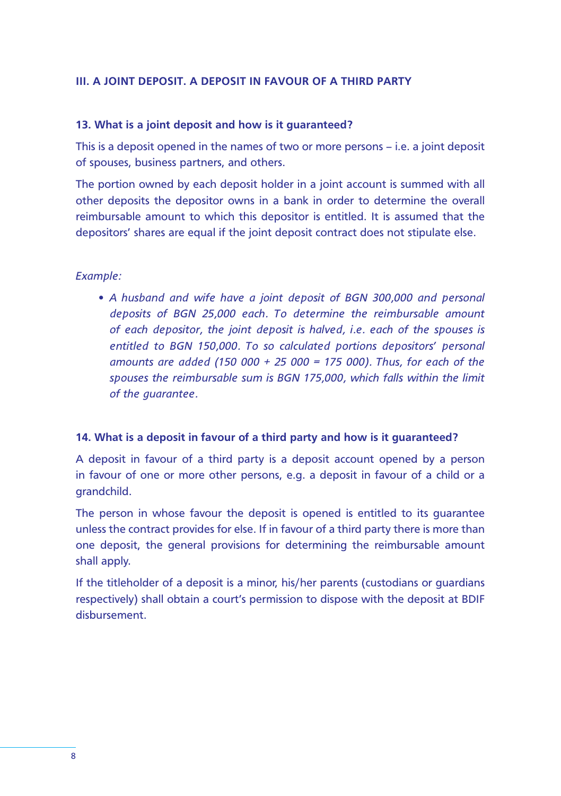## **III. A JOINT DEPOSIT. A DEPOSIT IN FAVOUR OF A THIRD PARTY**

#### **13. What is a joint deposit and how is it guaranteed?**

This is a deposit opened in the names of two or more persons – i.e. a joint deposit of spouses, business partners, and others.

The portion owned by each deposit holder in a joint account is summed with all other deposits the depositor owns in a bank in order to determine the overall reimbursable amount to which this depositor is entitled. It is assumed that the depositors' shares are equal if the joint deposit contract does not stipulate else.

## *Example:*

• *A husband and wife have a joint deposit of BGN 300,000 and personal deposits of BGN 25,000 each. To determine the reimbursable amount of each depositor, the joint deposit is halved, i.e. each of the spouses is entitled to BGN 150,000. To so calculated portions depositors' personal amounts are added (150 000 + 25 000 = 175 000). Thus, for each of the spouses the reimbursable sum is BGN 175,000, which falls within the limit of the guarantee.* 

## **14. What is a deposit in favour of a third party and how is it guaranteed?**

A deposit in favour of a third party is a deposit account opened by a person in favour of one or more other persons, e.g. a deposit in favour of a child or a grandchild.

The person in whose favour the deposit is opened is entitled to its guarantee unless the contract provides for else. If in favour of a third party there is more than one deposit, the general provisions for determining the reimbursable amount shall apply.

If the titleholder of a deposit is a minor, his/her parents (custodians or guardians respectively) shall obtain a court's permission to dispose with the deposit at BDIF disbursement.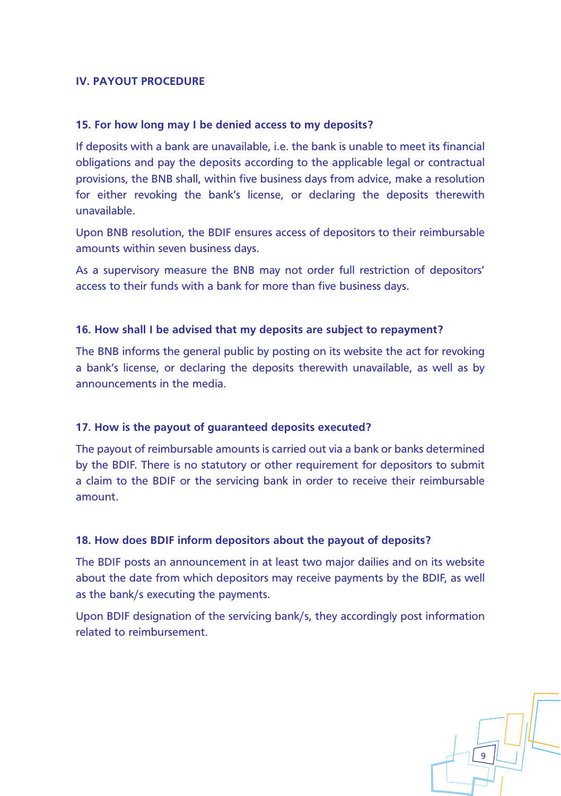## **IV. PAYOUT PROCEDURE**

## **15. For how long may I be denied access to my deposits?**

If deposits with a bank are unavailable, i.e. the bank is unable to meet its financial obligations and pay the deposits according to the applicable legal or contractual provisions, the BNB shall, within five business days from advice, make a resolution for either revoking the bank's license, or declaring the deposits therewith unavailable.

Upon BNB resolution, the BDIF ensures access of depositors to their reimbursable amounts within seven business days.

As a supervisory measure the BNB may not order full restriction of depositors' access to their funds with a bank for more than five business days.

## **16. How shall I be advised that my deposits are subject to repayment?**

The BNB informs the general public by posting on its website the act for revoking a bank's license, or declaring the deposits therewith unavailable, as well as by announcements in the media.

#### **17. How is the payout of guaranteed deposits executed?**

The payout of reimbursable amounts is carried out via a bank or banks determined by the BDIF. There is no statutory or other requirement for depositors to submit a claim to the BDIF or the servicing bank in order to receive their reimbursable amount.

## **18. How does BDIF inform depositors about the payout of deposits?**

The BDIF posts an announcement in at least two major dailies and on its website about the date from which depositors may receive payments by the BDIF, as well as the bank/s executing the payments.

Upon BDIF designation of the servicing bank/s, they accordingly post information related to reimbursement.

9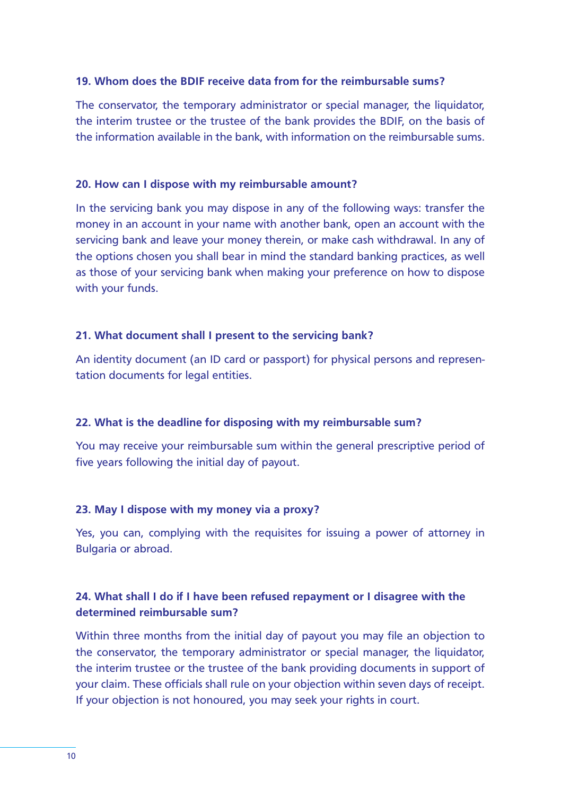#### **19. Whom does the BDIF receive data from for the reimbursable sums?**

The conservator, the temporary administrator or special manager, the liquidator, the interim trustee or the trustee of the bank provides the BDIF, on the basis of the information available in the bank, with information on the reimbursable sums.

## **20. How can I dispose with my reimbursable amount?**

In the servicing bank you may dispose in any of the following ways: transfer the money in an account in your name with another bank, open an account with the servicing bank and leave your money therein, or make cash withdrawal. In any of the options chosen you shall bear in mind the standard banking practices, as well as those of your servicing bank when making your preference on how to dispose with your funds.

## **21. What document shall I present to the servicing bank?**

An identity document (an ID card or passport) for physical persons and representation documents for legal entities.

## **22. What is the deadline for disposing with my reimbursable sum?**

You may receive your reimbursable sum within the general prescriptive period of five years following the initial day of payout.

## **23. May I dispose with my money via a proxy?**

Yes, you can, complying with the requisites for issuing a power of attorney in Bulgaria or abroad.

# **24. What shall I do if I have been refused repayment or I disagree with the determined reimbursable sum?**

Within three months from the initial day of payout you may file an objection to the conservator, the temporary administrator or special manager, the liquidator, the interim trustee or the trustee of the bank providing documents in support of your claim. These officials shall rule on your objection within seven days of receipt. If your objection is not honoured, you may seek your rights in court.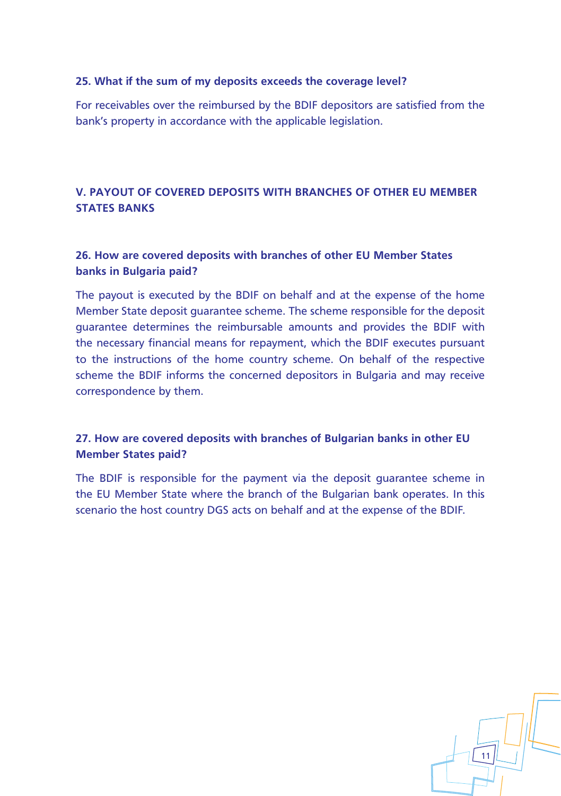## **25. What if the sum of my deposits exceeds the coverage level?**

For receivables over the reimbursed by the BDIF depositors are satisfied from the bank's property in accordance with the applicable legislation.

# **V. PAYOUT OF COVERED DEPOSITS WITH BRANCHES OF OTHER EU MEMBER STATES BANKS**

# **26. How are covered deposits with branches of other EU Member States banks in Bulgaria paid?**

The payout is executed by the BDIF on behalf and at the expense of the home Member State deposit guarantee scheme. The scheme responsible for the deposit guarantee determines the reimbursable amounts and provides the BDIF with the necessary financial means for repayment, which the BDIF executes pursuant to the instructions of the home country scheme. On behalf of the respective scheme the BDIF informs the concerned depositors in Bulgaria and may receive correspondence by them.

# **27. How are covered deposits with branches of Bulgarian banks in other EU Member States paid?**

The BDIF is responsible for the payment via the deposit guarantee scheme in the EU Member State where the branch of the Bulgarian bank operates. In this scenario the host country DGS acts on behalf and at the expense of the BDIF.

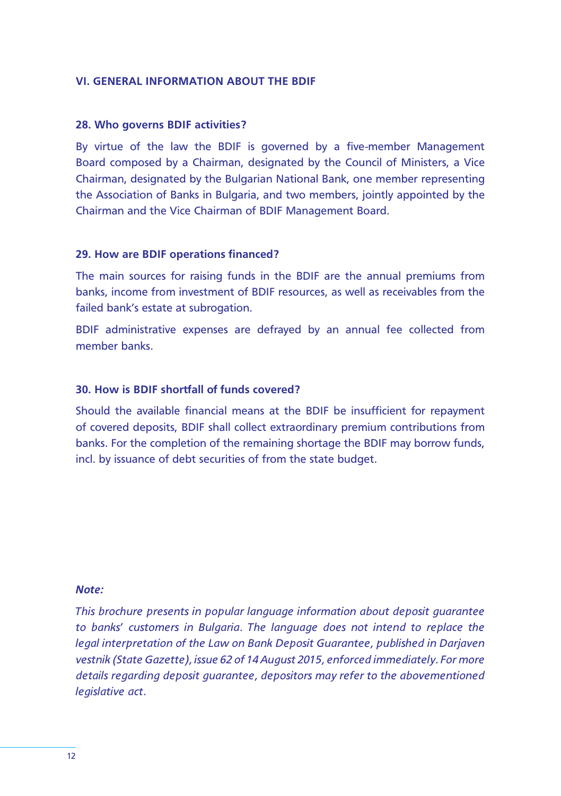#### **VI. GENERAL INFORMATION ABOUT THE BDIF**

#### **28. Who governs BDIF activities?**

By virtue of the law the BDIF is governed by a five-member Management Board composed by a Chairman, designated by the Council of Ministers, a Vice Chairman, designated by the Bulgarian National Bank, one member representing the Association of Banks in Bulgaria, and two members, jointly appointed by the Chairman and the Vice Chairman of BDIF Management Board.

## **29. How are BDIF operations financed?**

The main sources for raising funds in the BDIF are the annual premiums from banks, income from investment of BDIF resources, as well as receivables from the failed bank's estate at subrogation.

BDIF administrative expenses are defrayed by an annual fee collected from member banks.

# **30. How is BDIF shortfall of funds covered?**

Should the available financial means at the BDIF be insufficient for repayment of covered deposits, BDIF shall collect extraordinary premium contributions from banks. For the completion of the remaining shortage the BDIF may borrow funds, incl. by issuance of debt securities of from the state budget.

#### *Note:*

*This brochure presents in popular language information about deposit guarantee to banks' customers in Bulgaria. The language does not intend to replace the legal interpretation of the Law on Bank Deposit Guarantee, published in Darjaven vestnik (State Gazette), issue 62 of 14 August 2015, enforced immediately. For more details regarding deposit guarantee, depositors may refer to the abovementioned legislative act.*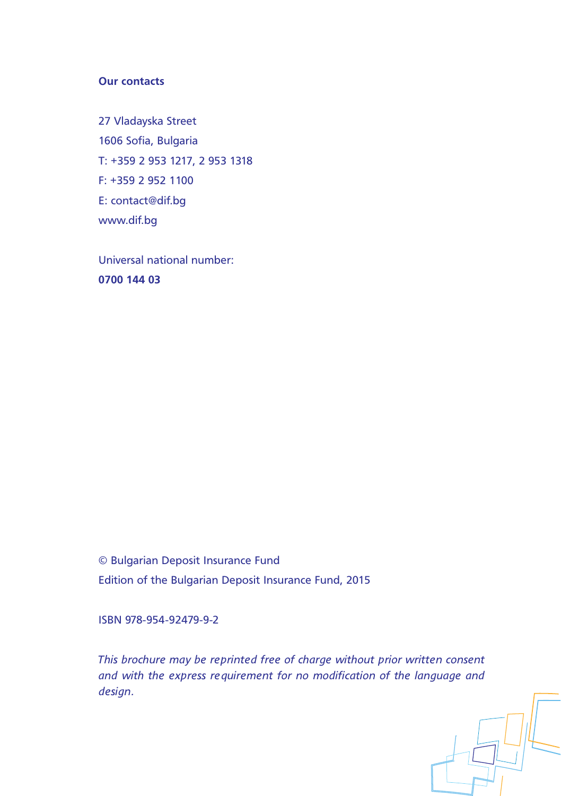# **Our contacts**

27 Vladayska Street 1606 Sofia, Bulgaria Т: +359 2 953 1217, 2 953 1318 F: +359 2 952 1100 E: contact@dif.bg www.dif.bg

Universal national number: **0700 144 03**

© Bulgarian Deposit Insurance Fund Edition of the Bulgarian Deposit Insurance Fund, 2015

ISBN 978-954-92479-9-2

*This brochure may be reprinted free of charge without prior written consent and with the express requirement for no modification of the language and design.*